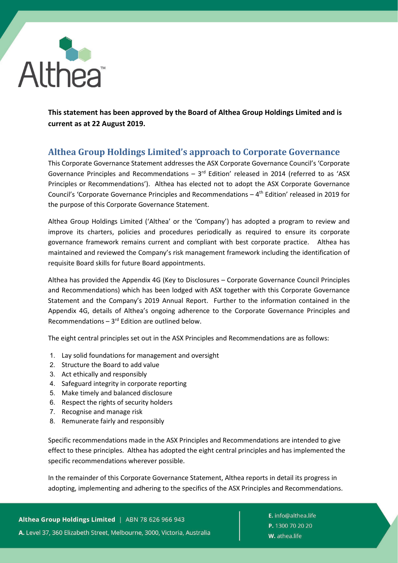

**This statement has been approved by the Board of Althea Group Holdings Limited and is current as at 22 August 2019.**

## **Althea Group Holdings Limited's approach to Corporate Governance**

This Corporate Governance Statement addresses the ASX Corporate Governance Council's 'Corporate Governance Principles and Recommendations –  $3<sup>rd</sup>$  Edition' released in 2014 (referred to as 'ASX Principles or Recommendations'). Althea has elected not to adopt the ASX Corporate Governance Council's 'Corporate Governance Principles and Recommendations  $-4$ <sup>th</sup> Edition' released in 2019 for the purpose of this Corporate Governance Statement.

Althea Group Holdings Limited ('Althea' or the 'Company') has adopted a program to review and improve its charters, policies and procedures periodically as required to ensure its corporate governance framework remains current and compliant with best corporate practice. Althea has maintained and reviewed the Company's risk management framework including the identification of requisite Board skills for future Board appointments.

Althea has provided the Appendix 4G (Key to Disclosures – Corporate Governance Council Principles and Recommendations) which has been lodged with ASX together with this Corporate Governance Statement and the Company's 2019 Annual Report. Further to the information contained in the Appendix 4G, details of Althea's ongoing adherence to the Corporate Governance Principles and Recommendations  $-3^{rd}$  Edition are outlined below.

The eight central principles set out in the ASX Principles and Recommendations are as follows:

- 1. Lay solid foundations for management and oversight
- 2. Structure the Board to add value
- 3. Act ethically and responsibly
- 4. Safeguard integrity in corporate reporting
- 5. Make timely and balanced disclosure
- 6. Respect the rights of security holders
- 7. Recognise and manage risk
- 8. Remunerate fairly and responsibly

Specific recommendations made in the ASX Principles and Recommendations are intended to give effect to these principles. Althea has adopted the eight central principles and has implemented the specific recommendations wherever possible.

In the remainder of this Corporate Governance Statement, Althea reports in detail its progress in adopting, implementing and adhering to the specifics of the ASX Principles and Recommendations.

Althea Group Holdings Limited | ABN 78 626 966 943 A. Level 37, 360 Elizabeth Street, Melbourne, 3000, Victoria, Australia E. info@althea.life P. 1300 70 20 20 W. athea.life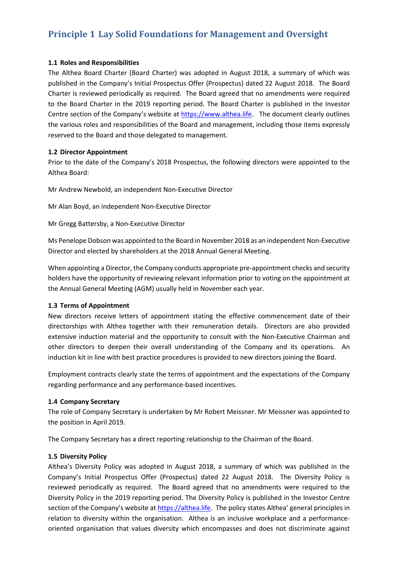# **Principle 1 Lay Solid Foundations for Management and Oversight**

#### **1.1 Roles and Responsibilities**

The Althea Board Charter (Board Charter) was adopted in August 2018, a summary of which was published in the Company's Initial Prospectus Offer (Prospectus) dated 22 August 2018. The Board Charter is reviewed periodically as required. The Board agreed that no amendments were required to the Board Charter in the 2019 reporting period. The Board Charter is published in the Investor Centre section of the Company's website at [https://www.althea.life.](https://www.althea.life/) The document clearly outlines the various roles and responsibilities of the Board and management, including those items expressly reserved to the Board and those delegated to management.

#### **1.2 Director Appointment**

Prior to the date of the Company's 2018 Prospectus, the following directors were appointed to the Althea Board:

Mr Andrew Newbold, an independent Non-Executive Director

Mr Alan Boyd, an independent Non-Executive Director

Mr Gregg Battersby, a Non-Executive Director

Ms Penelope Dobson was appointed to the Board in November 2018 as an independent Non-Executive Director and elected by shareholders at the 2018 Annual General Meeting.

When appointing a Director, the Company conducts appropriate pre-appointment checks and security holders have the opportunity of reviewing relevant information prior to voting on the appointment at the Annual General Meeting (AGM) usually held in November each year.

### **1.3 Terms of Appointment**

New directors receive letters of appointment stating the effective commencement date of their directorships with Althea together with their remuneration details. Directors are also provided extensive induction material and the opportunity to consult with the Non-Executive Chairman and other directors to deepen their overall understanding of the Company and its operations. An induction kit in line with best practice procedures is provided to new directors joining the Board.

Employment contracts clearly state the terms of appointment and the expectations of the Company regarding performance and any performance-based incentives.

### **1.4 Company Secretary**

The role of Company Secretary is undertaken by Mr Robert Meissner. Mr Meissner was appointed to the position in April 2019.

The Company Secretary has a direct reporting relationship to the Chairman of the Board.

### **1.5 Diversity Policy**

Althea's Diversity Policy was adopted in August 2018, a summary of which was published in the Company's Initial Prospectus Offer (Prospectus) dated 22 August 2018. The Diversity Policy is reviewed periodically as required. The Board agreed that no amendments were required to the Diversity Policy in the 2019 reporting period. The Diversity Policy is published in the Investor Centre section of the Company's website at [https://althea.life.](https://althea.life/) The policy states Althea' general principles in relation to diversity within the organisation. Althea is an inclusive workplace and a performanceoriented organisation that values diversity which encompasses and does not discriminate against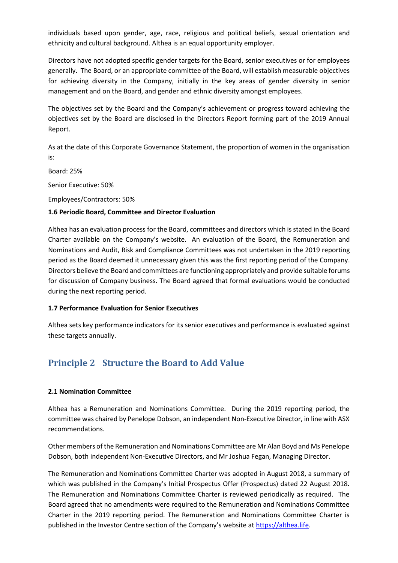individuals based upon gender, age, race, religious and political beliefs, sexual orientation and ethnicity and cultural background. Althea is an equal opportunity employer.

Directors have not adopted specific gender targets for the Board, senior executives or for employees generally. The Board, or an appropriate committee of the Board, will establish measurable objectives for achieving diversity in the Company, initially in the key areas of gender diversity in senior management and on the Board, and gender and ethnic diversity amongst employees.

The objectives set by the Board and the Company's achievement or progress toward achieving the objectives set by the Board are disclosed in the Directors Report forming part of the 2019 Annual Report.

As at the date of this Corporate Governance Statement, the proportion of women in the organisation is:

Board: 25% Senior Executive: 50% Employees/Contractors: 50%

### **1.6 Periodic Board, Committee and Director Evaluation**

Althea has an evaluation process for the Board, committees and directors which is stated in the Board Charter available on the Company's website. An evaluation of the Board, the Remuneration and Nominations and Audit, Risk and Compliance Committees was not undertaken in the 2019 reporting period as the Board deemed it unnecessary given this was the first reporting period of the Company. Directors believe the Board and committees are functioning appropriately and provide suitable forums for discussion of Company business. The Board agreed that formal evaluations would be conducted during the next reporting period.

#### **1.7 Performance Evaluation for Senior Executives**

Althea sets key performance indicators for its senior executives and performance is evaluated against these targets annually.

## **Principle 2 Structure the Board to Add Value**

### **2.1 Nomination Committee**

Althea has a Remuneration and Nominations Committee. During the 2019 reporting period, the committee was chaired by Penelope Dobson, an independent Non-Executive Director, in line with ASX recommendations.

Other members of the Remuneration and Nominations Committee are Mr Alan Boyd and Ms Penelope Dobson, both independent Non-Executive Directors, and Mr Joshua Fegan, Managing Director.

The Remuneration and Nominations Committee Charter was adopted in August 2018, a summary of which was published in the Company's Initial Prospectus Offer (Prospectus) dated 22 August 2018. The Remuneration and Nominations Committee Charter is reviewed periodically as required. The Board agreed that no amendments were required to the Remuneration and Nominations Committee Charter in the 2019 reporting period. The Remuneration and Nominations Committee Charter is published in the Investor Centre section of the Company's website a[t https://althea.life.](https://althea.life/)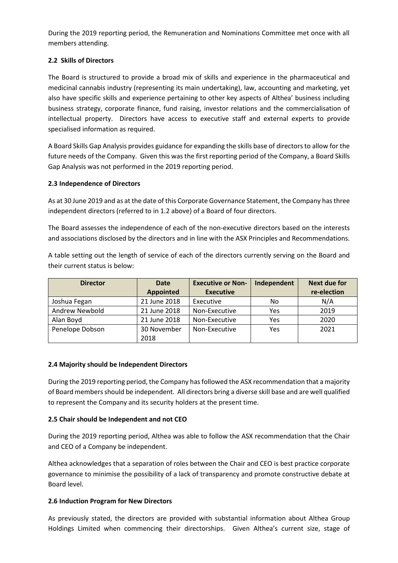During the 2019 reporting period, the Remuneration and Nominations Committee met once with all members attending.

### **2.2 Skills of Directors**

The Board is structured to provide a broad mix of skills and experience in the pharmaceutical and medicinal cannabis industry (representing its main undertaking), law, accounting and marketing, yet also have specific skills and experience pertaining to other key aspects of Althea' business including business strategy, corporate finance, fund raising, investor relations and the commercialisation of intellectual property. Directors have access to executive staff and external experts to provide specialised information as required.

A Board Skills Gap Analysis provides guidance for expanding the skills base of directors to allow for the future needs of the Company. Given this was the first reporting period of the Company, a Board Skills Gap Analysis was not performed in the 2019 reporting period.

### **2.3 Independence of Directors**

As at 30 June 2019 and as at the date of this Corporate Governance Statement, the Company hasthree independent directors (referred to in 1.2 above) of a Board of four directors.

The Board assesses the independence of each of the non-executive directors based on the interests and associations disclosed by the directors and in line with the ASX Principles and Recommendations.

A table setting out the length of service of each of the directors currently serving on the Board and their current status is below:

| <b>Director</b> | <b>Date</b>      | <b>Executive or Non-</b> | Independent | Next due for |
|-----------------|------------------|--------------------------|-------------|--------------|
|                 | <b>Appointed</b> | <b>Executive</b>         |             | re-election  |
| Joshua Fegan    | 21 June 2018     | Executive                | No          | N/A          |
| Andrew Newbold  | 21 June 2018     | Non-Executive            | Yes         | 2019         |
| Alan Boyd       | 21 June 2018     | Non-Executive            | Yes         | 2020         |
| Penelope Dobson | 30 November      | Non-Executive            | Yes         | 2021         |
|                 | 2018             |                          |             |              |

### **2.4 Majority should be Independent Directors**

During the 2019 reporting period, the Company has followed the ASX recommendation that a majority of Board members should be independent. All directors bring a diverse skill base and are well qualified to represent the Company and its security holders at the present time.

### **2.5 Chair should be Independent and not CEO**

During the 2019 reporting period, Althea was able to follow the ASX recommendation that the Chair and CEO of a Company be independent.

Althea acknowledges that a separation of roles between the Chair and CEO is best practice corporate governance to minimise the possibility of a lack of transparency and promote constructive debate at Board level.

### **2.6 Induction Program for New Directors**

As previously stated, the directors are provided with substantial information about Althea Group Holdings Limited when commencing their directorships. Given Althea's current size, stage of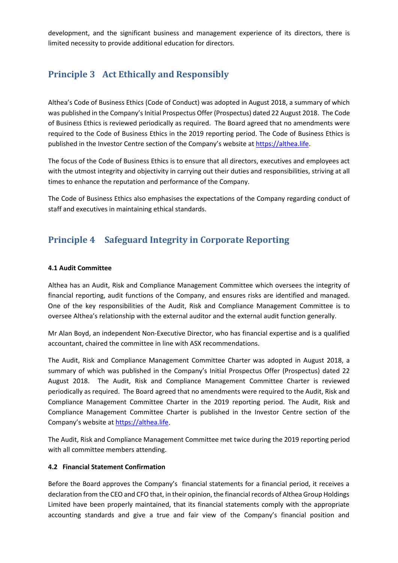development, and the significant business and management experience of its directors, there is limited necessity to provide additional education for directors.

## **Principle 3 Act Ethically and Responsibly**

Althea's Code of Business Ethics (Code of Conduct) was adopted in August 2018, a summary of which was published in the Company's Initial Prospectus Offer (Prospectus) dated 22 August 2018. The Code of Business Ethics is reviewed periodically as required. The Board agreed that no amendments were required to the Code of Business Ethics in the 2019 reporting period. The Code of Business Ethics is published in the Investor Centre section of the Company's website a[t https://althea.life.](https://althea.life/)

The focus of the Code of Business Ethics is to ensure that all directors, executives and employees act with the utmost integrity and objectivity in carrying out their duties and responsibilities, striving at all times to enhance the reputation and performance of the Company.

The Code of Business Ethics also emphasises the expectations of the Company regarding conduct of staff and executives in maintaining ethical standards.

# **Principle 4 Safeguard Integrity in Corporate Reporting**

#### **4.1 Audit Committee**

Althea has an Audit, Risk and Compliance Management Committee which oversees the integrity of financial reporting, audit functions of the Company, and ensures risks are identified and managed. One of the key responsibilities of the Audit, Risk and Compliance Management Committee is to oversee Althea's relationship with the external auditor and the external audit function generally.

Mr Alan Boyd, an independent Non-Executive Director, who has financial expertise and is a qualified accountant, chaired the committee in line with ASX recommendations.

The Audit, Risk and Compliance Management Committee Charter was adopted in August 2018, a summary of which was published in the Company's Initial Prospectus Offer (Prospectus) dated 22 August 2018. The Audit, Risk and Compliance Management Committee Charter is reviewed periodically as required. The Board agreed that no amendments were required to the Audit, Risk and Compliance Management Committee Charter in the 2019 reporting period. The Audit, Risk and Compliance Management Committee Charter is published in the Investor Centre section of the Company's website at [https://althea.life.](https://althea.life/)

The Audit, Risk and Compliance Management Committee met twice during the 2019 reporting period with all committee members attending.

### **4.2 Financial Statement Confirmation**

Before the Board approves the Company's financial statements for a financial period, it receives a declaration from the CEO and CFO that, in their opinion, the financial records of Althea Group Holdings Limited have been properly maintained, that its financial statements comply with the appropriate accounting standards and give a true and fair view of the Company's financial position and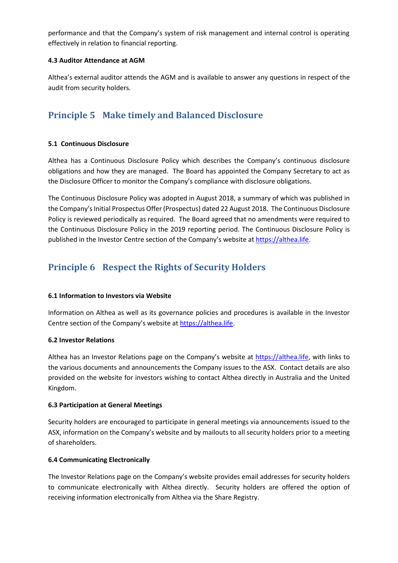performance and that the Company's system of risk management and internal control is operating effectively in relation to financial reporting.

#### **4.3 Auditor Attendance at AGM**

Althea's external auditor attends the AGM and is available to answer any questions in respect of the audit from security holders.

# **Principle 5 Make timely and Balanced Disclosure**

#### **5.1 Continuous Disclosure**

Althea has a Continuous Disclosure Policy which describes the Company's continuous disclosure obligations and how they are managed. The Board has appointed the Company Secretary to act as the Disclosure Officer to monitor the Company's compliance with disclosure obligations.

The Continuous Disclosure Policy was adopted in August 2018, a summary of which was published in the Company's Initial Prospectus Offer (Prospectus) dated 22 August 2018. The Continuous Disclosure Policy is reviewed periodically as required. The Board agreed that no amendments were required to the Continuous Disclosure Policy in the 2019 reporting period. The Continuous Disclosure Policy is published in the Investor Centre section of the Company's website a[t https://althea.life.](https://althea.life/)

# **Principle 6 Respect the Rights of Security Holders**

### **6.1 Information to Investors via Website**

Information on Althea as well as its governance policies and procedures is available in the Investor Centre section of the Company's website at [https://althea.life.](https://althea.life/)

#### **6.2 Investor Relations**

Althea has an Investor Relations page on the Company's website at [https://althea.life,](https://althea.life/) with links to the various documents and announcements the Company issues to the ASX. Contact details are also provided on the website for investors wishing to contact Althea directly in Australia and the United Kingdom.

#### **6.3 Participation at General Meetings**

Security holders are encouraged to participate in general meetings via announcements issued to the ASX, information on the Company's website and by mailouts to all security holders prior to a meeting of shareholders.

### **6.4 Communicating Electronically**

The Investor Relations page on the Company's website provides email addresses for security holders to communicate electronically with Althea directly. Security holders are offered the option of receiving information electronically from Althea via the Share Registry.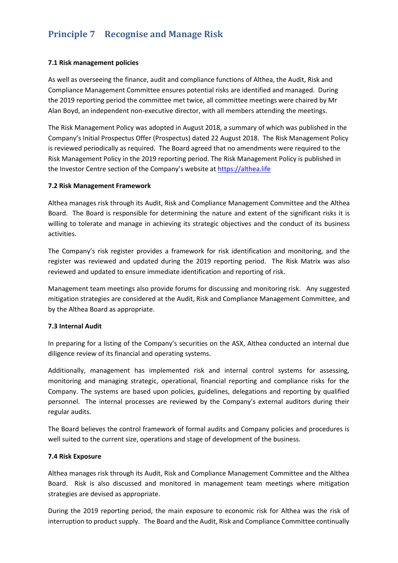# **Principle 7 Recognise and Manage Risk**

#### **7.1 Risk management policies**

As well as overseeing the finance, audit and compliance functions of Althea, the Audit, Risk and Compliance Management Committee ensures potential risks are identified and managed. During the 2019 reporting period the committee met twice, all committee meetings were chaired by Mr Alan Boyd, an independent non-executive director, with all members attending the meetings.

The Risk Management Policy was adopted in August 2018, a summary of which was published in the Company's Initial Prospectus Offer (Prospectus) dated 22 August 2018. The Risk Management Policy is reviewed periodically as required. The Board agreed that no amendments were required to the Risk Management Policy in the 2019 reporting period. The Risk Management Policy is published in the Investor Centre section of the Company's website a[t https://althea.life](https://althea.life/)

#### **7.2 Risk Management Framework**

Althea manages risk through its Audit, Risk and Compliance Management Committee and the Althea Board. The Board is responsible for determining the nature and extent of the significant risks it is willing to tolerate and manage in achieving its strategic objectives and the conduct of its business activities.

The Company's risk register provides a framework for risk identification and monitoring, and the register was reviewed and updated during the 2019 reporting period. The Risk Matrix was also reviewed and updated to ensure immediate identification and reporting of risk.

Management team meetings also provide forums for discussing and monitoring risk. Any suggested mitigation strategies are considered at the Audit, Risk and Compliance Management Committee, and by the Althea Board as appropriate.

#### **7.3 Internal Audit**

In preparing for a listing of the Company's securities on the ASX, Althea conducted an internal due diligence review of its financial and operating systems.

Additionally, management has implemented risk and internal control systems for assessing, monitoring and managing strategic, operational, financial reporting and compliance risks for the Company. The systems are based upon policies, guidelines, delegations and reporting by qualified personnel. The internal processes are reviewed by the Company's external auditors during their regular audits.

The Board believes the control framework of formal audits and Company policies and procedures is well suited to the current size, operations and stage of development of the business.

#### **7.4 Risk Exposure**

Althea manages risk through its Audit, Risk and Compliance Management Committee and the Althea Board. Risk is also discussed and monitored in management team meetings where mitigation strategies are devised as appropriate.

During the 2019 reporting period, the main exposure to economic risk for Althea was the risk of interruption to product supply. The Board and the Audit, Risk and Compliance Committee continually